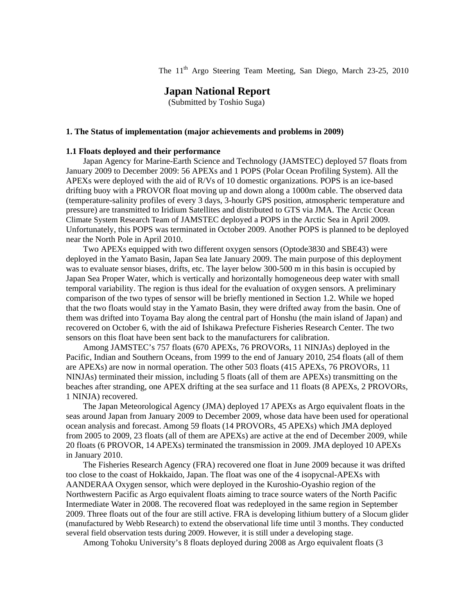The 11<sup>th</sup> Argo Steering Team Meeting, San Diego, March 23-25, 2010

# **Japan National Report**

(Submitted by Toshio Suga)

### **1. The Status of implementation (major achievements and problems in 2009)**

### **1.1 Floats deployed and their performance**

Japan Agency for Marine-Earth Science and Technology (JAMSTEC) deployed 57 floats from January 2009 to December 2009: 56 APEXs and 1 POPS (Polar Ocean Profiling System). All the APEXs were deployed with the aid of R/Vs of 10 domestic organizations. POPS is an ice-based drifting buoy with a PROVOR float moving up and down along a 1000m cable. The observed data (temperature-salinity profiles of every 3 days, 3-hourly GPS position, atmospheric temperature and pressure) are transmitted to Iridium Satellites and distributed to GTS via JMA. The Arctic Ocean Climate System Research Team of JAMSTEC deployed a POPS in the Arctic Sea in April 2009. Unfortunately, this POPS was terminated in October 2009. Another POPS is planned to be deployed near the North Pole in April 2010.

Two APEXs equipped with two different oxygen sensors (Optode3830 and SBE43) were deployed in the Yamato Basin, Japan Sea late January 2009. The main purpose of this deployment was to evaluate sensor biases, drifts, etc. The layer below 300-500 m in this basin is occupied by Japan Sea Proper Water, which is vertically and horizontally homogeneous deep water with small temporal variability. The region is thus ideal for the evaluation of oxygen sensors. A preliminary comparison of the two types of sensor will be briefly mentioned in Section 1.2. While we hoped that the two floats would stay in the Yamato Basin, they were drifted away from the basin. One of them was drifted into Toyama Bay along the central part of Honshu (the main island of Japan) and recovered on October 6, with the aid of Ishikawa Prefecture Fisheries Research Center. The two sensors on this float have been sent back to the manufacturers for calibration.

Among JAMSTEC's 757 floats (670 APEXs, 76 PROVORs, 11 NINJAs) deployed in the Pacific, Indian and Southern Oceans, from 1999 to the end of January 2010, 254 floats (all of them are APEXs) are now in normal operation. The other 503 floats (415 APEXs, 76 PROVORs, 11 NINJAs) terminated their mission, including 5 floats (all of them are APEXs) transmitting on the beaches after stranding, one APEX drifting at the sea surface and 11 floats (8 APEXs, 2 PROVORs, 1 NINJA) recovered.

The Japan Meteorological Agency (JMA) deployed 17 APEXs as Argo equivalent floats in the seas around Japan from January 2009 to December 2009, whose data have been used for operational ocean analysis and forecast. Among 59 floats (14 PROVORs, 45 APEXs) which JMA deployed from 2005 to 2009, 23 floats (all of them are APEXs) are active at the end of December 2009, while 20 floats (6 PROVOR, 14 APEXs) terminated the transmission in 2009. JMA deployed 10 APEXs in January 2010.

 The Fisheries Research Agency (FRA) recovered one float in June 2009 because it was drifted too close to the coast of Hokkaido, Japan. The float was one of the 4 isopycnal-APEXs with AANDERAA Oxygen sensor, which were deployed in the Kuroshio-Oyashio region of the Northwestern Pacific as Argo equivalent floats aiming to trace source waters of the North Pacific Intermediate Water in 2008. The recovered float was redeployed in the same region in September 2009. Three floats out of the four are still active. FRA is developing lithium buttery of a Slocum glider (manufactured by Webb Research) to extend the observational life time until 3 months. They conducted several field observation tests during 2009. However, it is still under a developing stage.

Among Tohoku University's 8 floats deployed during 2008 as Argo equivalent floats (3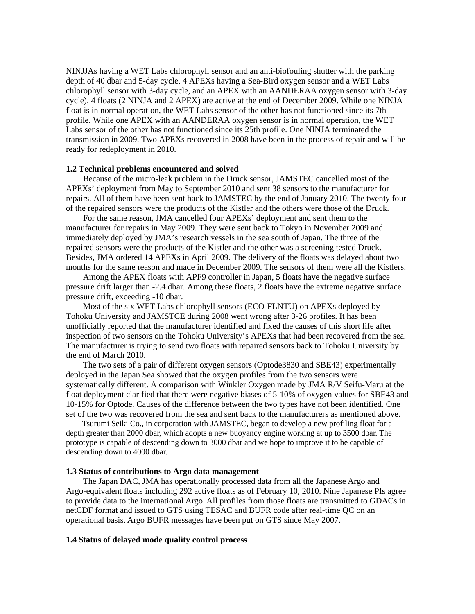NINJJAs having a WET Labs chlorophyll sensor and an anti-biofouling shutter with the parking depth of 40 dbar and 5-day cycle, 4 APEXs having a Sea-Bird oxygen sensor and a WET Labs chlorophyll sensor with 3-day cycle, and an APEX with an AANDERAA oxygen sensor with 3-day cycle), 4 floats (2 NINJA and 2 APEX) are active at the end of December 2009. While one NINJA float is in normal operation, the WET Labs sensor of the other has not functioned since its 7th profile. While one APEX with an AANDERAA oxygen sensor is in normal operation, the WET Labs sensor of the other has not functioned since its 25th profile. One NINJA terminated the transmission in 2009. Two APEXs recovered in 2008 have been in the process of repair and will be ready for redeployment in 2010.

#### **1.2 Technical problems encountered and solved**

Because of the micro-leak problem in the Druck sensor, JAMSTEC cancelled most of the APEXs' deployment from May to September 2010 and sent 38 sensors to the manufacturer for repairs. All of them have been sent back to JAMSTEC by the end of January 2010. The twenty four of the repaired sensors were the products of the Kistler and the others were those of the Druck.

For the same reason, JMA cancelled four APEXs' deployment and sent them to the manufacturer for repairs in May 2009. They were sent back to Tokyo in November 2009 and immediately deployed by JMA's research vessels in the sea south of Japan. The three of the repaired sensors were the products of the Kistler and the other was a screening tested Druck. Besides, JMA ordered 14 APEXs in April 2009. The delivery of the floats was delayed about two months for the same reason and made in December 2009. The sensors of them were all the Kistlers.

Among the APEX floats with APF9 controller in Japan, 5 floats have the negative surface pressure drift larger than -2.4 dbar. Among these floats, 2 floats have the extreme negative surface pressure drift, exceeding -10 dbar.

Most of the six WET Labs chlorophyll sensors (ECO-FLNTU) on APEXs deployed by Tohoku University and JAMSTCE during 2008 went wrong after 3-26 profiles. It has been unofficially reported that the manufacturer identified and fixed the causes of this short life after inspection of two sensors on the Tohoku University's APEXs that had been recovered from the sea. The manufacturer is trying to send two floats with repaired sensors back to Tohoku University by the end of March 2010.

The two sets of a pair of different oxygen sensors (Optode3830 and SBE43) experimentally deployed in the Japan Sea showed that the oxygen profiles from the two sensors were systematically different. A comparison with Winkler Oxygen made by JMA R/V Seifu-Maru at the float deployment clarified that there were negative biases of 5-10% of oxygen values for SBE43 and 10-15% for Optode. Causes of the difference between the two types have not been identified. One set of the two was recovered from the sea and sent back to the manufacturers as mentioned above.

Tsurumi Seiki Co., in corporation with JAMSTEC, began to develop a new profiling float for a depth greater than 2000 dbar, which adopts a new buoyancy engine working at up to 3500 dbar. The prototype is capable of descending down to 3000 dbar and we hope to improve it to be capable of descending down to 4000 dbar.

## **1.3 Status of contributions to Argo data management**

The Japan DAC, JMA has operationally processed data from all the Japanese Argo and Argo-equivalent floats including 292 active floats as of February 10, 2010. Nine Japanese PIs agree to provide data to the international Argo. All profiles from those floats are transmitted to GDACs in netCDF format and issued to GTS using TESAC and BUFR code after real-time QC on an operational basis. Argo BUFR messages have been put on GTS since May 2007.

## **1.4 Status of delayed mode quality control process**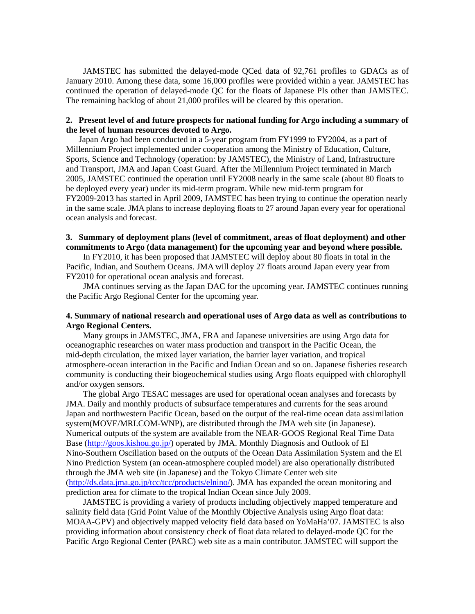JAMSTEC has submitted the delayed-mode QCed data of 92,761 profiles to GDACs as of January 2010. Among these data, some 16,000 profiles were provided within a year. JAMSTEC has continued the operation of delayed-mode QC for the floats of Japanese PIs other than JAMSTEC. The remaining backlog of about 21,000 profiles will be cleared by this operation.

# **2. Present level of and future prospects for national funding for Argo including a summary of the level of human resources devoted to Argo.**

Japan Argo had been conducted in a 5-year program from FY1999 to FY2004, as a part of Millennium Project implemented under cooperation among the Ministry of Education, Culture, Sports, Science and Technology (operation: by JAMSTEC), the Ministry of Land, Infrastructure and Transport, JMA and Japan Coast Guard. After the Millennium Project terminated in March 2005, JAMSTEC continued the operation until FY2008 nearly in the same scale (about 80 floats to be deployed every year) under its mid-term program. While new mid-term program for FY2009-2013 has started in April 2009, JAMSTEC has been trying to continue the operation nearly in the same scale. JMA plans to increase deploying floats to 27 around Japan every year for operational ocean analysis and forecast.

## **3. Summary of deployment plans (level of commitment, areas of float deployment) and other commitments to Argo (data management) for the upcoming year and beyond where possible.**

 In FY2010, it has been proposed that JAMSTEC will deploy about 80 floats in total in the Pacific, Indian, and Southern Oceans. JMA will deploy 27 floats around Japan every year from FY2010 for operational ocean analysis and forecast.

JMA continues serving as the Japan DAC for the upcoming year. JAMSTEC continues running the Pacific Argo Regional Center for the upcoming year.

# **4. Summary of national research and operational uses of Argo data as well as contributions to Argo Regional Centers.**

Many groups in JAMSTEC, JMA, FRA and Japanese universities are using Argo data for oceanographic researches on water mass production and transport in the Pacific Ocean, the mid-depth circulation, the mixed layer variation, the barrier layer variation, and tropical atmosphere-ocean interaction in the Pacific and Indian Ocean and so on. Japanese fisheries research community is conducting their biogeochemical studies using Argo floats equipped with chlorophyll and/or oxygen sensors.

The global Argo TESAC messages are used for operational ocean analyses and forecasts by JMA. Daily and monthly products of subsurface temperatures and currents for the seas around Japan and northwestern Pacific Ocean, based on the output of the real-time ocean data assimilation system(MOVE/MRI.COM-WNP), are distributed through the JMA web site (in Japanese). Numerical outputs of the system are available from the NEAR-GOOS Regional Real Time Data Base (<http://goos.kishou.go.jp/>) operated by JMA. Monthly Diagnosis and Outlook of El Nino-Southern Oscillation based on the outputs of the Ocean Data Assimilation System and the El Nino Prediction System (an ocean-atmosphere coupled model) are also operationally distributed through the JMA web site (in Japanese) and the Tokyo Climate Center web site ([http://ds.data.jma.go.jp/tcc/tcc/products/elnino/\)](http://ds.data.okdk.kishoujma.go.jp/tcc/tcc/products/elnino/). JMA has expanded the ocean monitoring and prediction area for climate to the tropical Indian Ocean since July 2009.

JAMSTEC is providing a variety of products including objectively mapped temperature and salinity field data (Grid Point Value of the Monthly Objective Analysis using Argo float data: MOAA-GPV) and objectively mapped velocity field data based on YoMaHa'07. JAMSTEC is also providing information about consistency check of float data related to delayed-mode QC for the Pacific Argo Regional Center (PARC) web site as a main contributor. JAMSTEC will support the